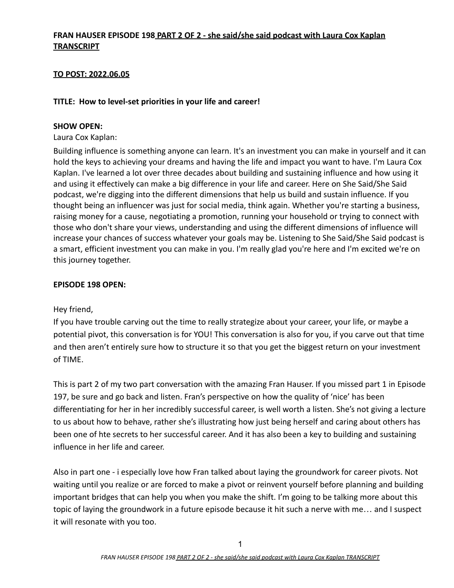## **FRAN HAUSER EPISODE 198 PART 2 OF 2 - she said/she said podcast with Laura Cox Kaplan TRANSCRIPT**

## **TO POST: 2022.06.05**

### **TITLE: How to level-set priorities in your life and career!**

### **SHOW OPEN:**

Laura Cox Kaplan:

Building influence is something anyone can learn. It's an investment you can make in yourself and it can hold the keys to achieving your dreams and having the life and impact you want to have. I'm Laura Cox Kaplan. I've learned a lot over three decades about building and sustaining influence and how using it and using it effectively can make a big difference in your life and career. Here on She Said/She Said podcast, we're digging into the different dimensions that help us build and sustain influence. If you thought being an influencer was just for social media, think again. Whether you're starting a business, raising money for a cause, negotiating a promotion, running your household or trying to connect with those who don't share your views, understanding and using the different dimensions of influence will increase your chances of success whatever your goals may be. Listening to She Said/She Said podcast is a smart, efficient investment you can make in you. I'm really glad you're here and I'm excited we're on this journey together.

### **EPISODE 198 OPEN:**

### Hey friend,

If you have trouble carving out the time to really strategize about your career, your life, or maybe a potential pivot, this conversation is for YOU! This conversation is also for you, if you carve out that time and then aren't entirely sure how to structure it so that you get the biggest return on your investment of TIME.

This is part 2 of my two part conversation with the amazing Fran Hauser. If you missed part 1 in Episode 197, be sure and go back and listen. Fran's perspective on how the quality of 'nice' has been differentiating for her in her incredibly successful career, is well worth a listen. She's not giving a lecture to us about how to behave, rather she's illustrating how just being herself and caring about others has been one of hte secrets to her successful career. And it has also been a key to building and sustaining influence in her life and career.

Also in part one - i especially love how Fran talked about laying the groundwork for career pivots. Not waiting until you realize or are forced to make a pivot or reinvent yourself before planning and building important bridges that can help you when you make the shift. I'm going to be talking more about this topic of laying the groundwork in a future episode because it hit such a nerve with me… and I suspect it will resonate with you too.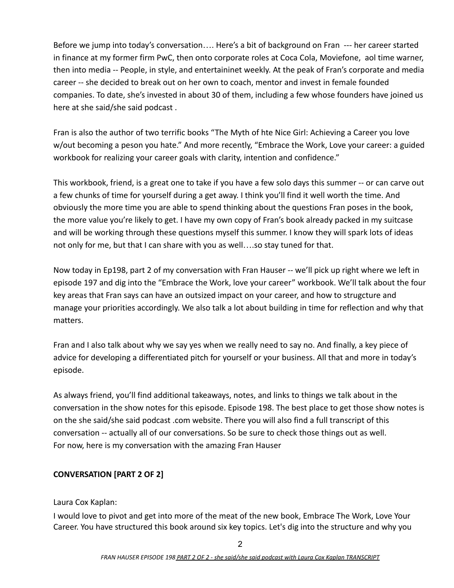Before we jump into today's conversation…. Here's a bit of background on Fran --- her career started in finance at my former firm PwC, then onto corporate roles at Coca Cola, Moviefone, aol time warner, then into media -- People, in style, and entertaininet weekly. At the peak of Fran's corporate and media career -- she decided to break out on her own to coach, mentor and invest in female founded companies. To date, she's invested in about 30 of them, including a few whose founders have joined us here at she said/she said podcast .

Fran is also the author of two terrific books "The Myth of hte Nice Girl: Achieving a Career you love w/out becoming a peson you hate." And more recently, "Embrace the Work, Love your career: a guided workbook for realizing your career goals with clarity, intention and confidence."

This workbook, friend, is a great one to take if you have a few solo days this summer -- or can carve out a few chunks of time for yourself during a get away. I think you'll find it well worth the time. And obviously the more time you are able to spend thinking about the questions Fran poses in the book, the more value you're likely to get. I have my own copy of Fran's book already packed in my suitcase and will be working through these questions myself this summer. I know they will spark lots of ideas not only for me, but that I can share with you as well….so stay tuned for that.

Now today in Ep198, part 2 of my conversation with Fran Hauser -- we'll pick up right where we left in episode 197 and dig into the "Embrace the Work, love your career" workbook. We'll talk about the four key areas that Fran says can have an outsized impact on your career, and how to strugcture and manage your priorities accordingly. We also talk a lot about building in time for reflection and why that matters.

Fran and I also talk about why we say yes when we really need to say no. And finally, a key piece of advice for developing a differentiated pitch for yourself or your business. All that and more in today's episode.

As always friend, you'll find additional takeaways, notes, and links to things we talk about in the conversation in the show notes for this episode. Episode 198. The best place to get those show notes is on the she said/she said podcast .com website. There you will also find a full transcript of this conversation -- actually all of our conversations. So be sure to check those things out as well. For now, here is my conversation with the amazing Fran Hauser

# **CONVERSATION [PART 2 OF 2]**

Laura Cox Kaplan:

I would love to pivot and get into more of the meat of the new book, Embrace The Work, Love Your Career. You have structured this book around six key topics. Let's dig into the structure and why you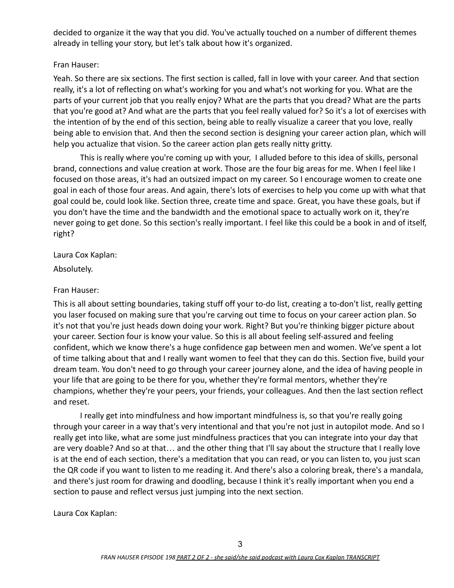decided to organize it the way that you did. You've actually touched on a number of different themes already in telling your story, but let's talk about how it's organized.

### Fran Hauser:

Yeah. So there are six sections. The first section is called, fall in love with your career. And that section really, it's a lot of reflecting on what's working for you and what's not working for you. What are the parts of your current job that you really enjoy? What are the parts that you dread? What are the parts that you're good at? And what are the parts that you feel really valued for? So it's a lot of exercises with the intention of by the end of this section, being able to really visualize a career that you love, really being able to envision that. And then the second section is designing your career action plan, which will help you actualize that vision. So the career action plan gets really nitty gritty.

This is really where you're coming up with your, I alluded before to this idea of skills, personal brand, connections and value creation at work. Those are the four big areas for me. When I feel like I focused on those areas, it's had an outsized impact on my career. So I encourage women to create one goal in each of those four areas. And again, there's lots of exercises to help you come up with what that goal could be, could look like. Section three, create time and space. Great, you have these goals, but if you don't have the time and the bandwidth and the emotional space to actually work on it, they're never going to get done. So this section's really important. I feel like this could be a book in and of itself, right?

Laura Cox Kaplan:

Absolutely.

## Fran Hauser:

This is all about setting boundaries, taking stuff off your to-do list, creating a to-don't list, really getting you laser focused on making sure that you're carving out time to focus on your career action plan. So it's not that you're just heads down doing your work. Right? But you're thinking bigger picture about your career. Section four is know your value. So this is all about feeling self-assured and feeling confident, which we know there's a huge confidence gap between men and women. We've spent a lot of time talking about that and I really want women to feel that they can do this. Section five, build your dream team. You don't need to go through your career journey alone, and the idea of having people in your life that are going to be there for you, whether they're formal mentors, whether they're champions, whether they're your peers, your friends, your colleagues. And then the last section reflect and reset.

I really get into mindfulness and how important mindfulness is, so that you're really going through your career in a way that's very intentional and that you're not just in autopilot mode. And so I really get into like, what are some just mindfulness practices that you can integrate into your day that are very doable? And so at that… and the other thing that I'll say about the structure that I really love is at the end of each section, there's a meditation that you can read, or you can listen to, you just scan the QR code if you want to listen to me reading it. And there's also a coloring break, there's a mandala, and there's just room for drawing and doodling, because I think it's really important when you end a section to pause and reflect versus just jumping into the next section.

Laura Cox Kaplan: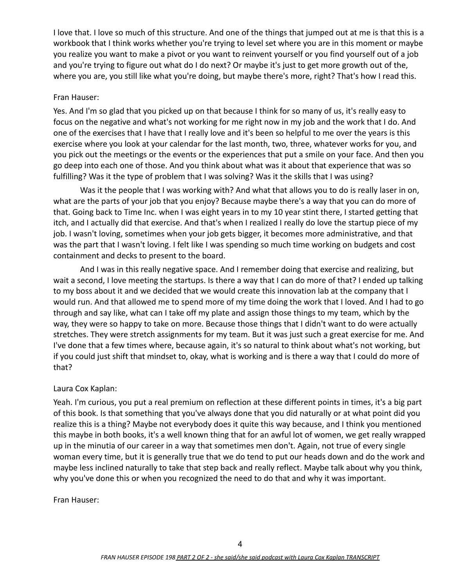I love that. I love so much of this structure. And one of the things that jumped out at me is that this is a workbook that I think works whether you're trying to level set where you are in this moment or maybe you realize you want to make a pivot or you want to reinvent yourself or you find yourself out of a job and you're trying to figure out what do I do next? Or maybe it's just to get more growth out of the, where you are, you still like what you're doing, but maybe there's more, right? That's how I read this.

#### Fran Hauser:

Yes. And I'm so glad that you picked up on that because I think for so many of us, it's really easy to focus on the negative and what's not working for me right now in my job and the work that I do. And one of the exercises that I have that I really love and it's been so helpful to me over the years is this exercise where you look at your calendar for the last month, two, three, whatever works for you, and you pick out the meetings or the events or the experiences that put a smile on your face. And then you go deep into each one of those. And you think about what was it about that experience that was so fulfilling? Was it the type of problem that I was solving? Was it the skills that I was using?

Was it the people that I was working with? And what that allows you to do is really laser in on, what are the parts of your job that you enjoy? Because maybe there's a way that you can do more of that. Going back to Time Inc. when I was eight years in to my 10 year stint there, I started getting that itch, and I actually did that exercise. And that's when I realized I really do love the startup piece of my job. I wasn't loving, sometimes when your job gets bigger, it becomes more administrative, and that was the part that I wasn't loving. I felt like I was spending so much time working on budgets and cost containment and decks to present to the board.

And I was in this really negative space. And I remember doing that exercise and realizing, but wait a second, I love meeting the startups. Is there a way that I can do more of that? I ended up talking to my boss about it and we decided that we would create this innovation lab at the company that I would run. And that allowed me to spend more of my time doing the work that I loved. And I had to go through and say like, what can I take off my plate and assign those things to my team, which by the way, they were so happy to take on more. Because those things that I didn't want to do were actually stretches. They were stretch assignments for my team. But it was just such a great exercise for me. And I've done that a few times where, because again, it's so natural to think about what's not working, but if you could just shift that mindset to, okay, what is working and is there a way that I could do more of that?

### Laura Cox Kaplan:

Yeah. I'm curious, you put a real premium on reflection at these different points in times, it's a big part of this book. Is that something that you've always done that you did naturally or at what point did you realize this is a thing? Maybe not everybody does it quite this way because, and I think you mentioned this maybe in both books, it's a well known thing that for an awful lot of women, we get really wrapped up in the minutia of our career in a way that sometimes men don't. Again, not true of every single woman every time, but it is generally true that we do tend to put our heads down and do the work and maybe less inclined naturally to take that step back and really reflect. Maybe talk about why you think, why you've done this or when you recognized the need to do that and why it was important.

Fran Hauser: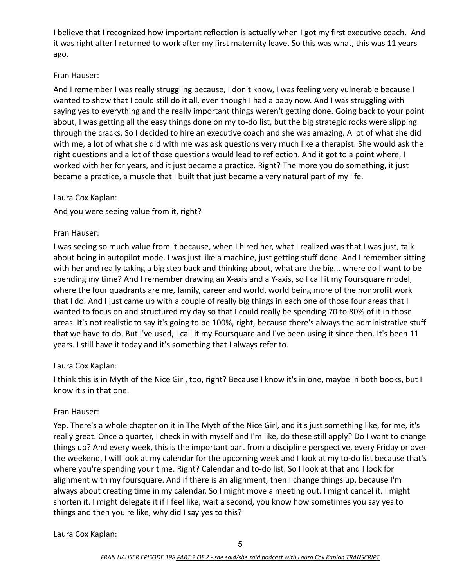I believe that I recognized how important reflection is actually when I got my first executive coach. And it was right after I returned to work after my first maternity leave. So this was what, this was 11 years ago.

## Fran Hauser:

And I remember I was really struggling because, I don't know, I was feeling very vulnerable because I wanted to show that I could still do it all, even though I had a baby now. And I was struggling with saying yes to everything and the really important things weren't getting done. Going back to your point about, I was getting all the easy things done on my to-do list, but the big strategic rocks were slipping through the cracks. So I decided to hire an executive coach and she was amazing. A lot of what she did with me, a lot of what she did with me was ask questions very much like a therapist. She would ask the right questions and a lot of those questions would lead to reflection. And it got to a point where, I worked with her for years, and it just became a practice. Right? The more you do something, it just became a practice, a muscle that I built that just became a very natural part of my life.

### Laura Cox Kaplan:

And you were seeing value from it, right?

## Fran Hauser:

I was seeing so much value from it because, when I hired her, what I realized was that I was just, talk about being in autopilot mode. I was just like a machine, just getting stuff done. And I remember sitting with her and really taking a big step back and thinking about, what are the big... where do I want to be spending my time? And I remember drawing an X-axis and a Y-axis, so I call it my Foursquare model, where the four quadrants are me, family, career and world, world being more of the nonprofit work that I do. And I just came up with a couple of really big things in each one of those four areas that I wanted to focus on and structured my day so that I could really be spending 70 to 80% of it in those areas. It's not realistic to say it's going to be 100%, right, because there's always the administrative stuff that we have to do. But I've used, I call it my Foursquare and I've been using it since then. It's been 11 years. I still have it today and it's something that I always refer to.

### Laura Cox Kaplan:

I think this is in Myth of the Nice Girl, too, right? Because I know it's in one, maybe in both books, but I know it's in that one.

### Fran Hauser:

Yep. There's a whole chapter on it in The Myth of the Nice Girl, and it's just something like, for me, it's really great. Once a quarter, I check in with myself and I'm like, do these still apply? Do I want to change things up? And every week, this is the important part from a discipline perspective, every Friday or over the weekend, I will look at my calendar for the upcoming week and I look at my to-do list because that's where you're spending your time. Right? Calendar and to-do list. So I look at that and I look for alignment with my foursquare. And if there is an alignment, then I change things up, because I'm always about creating time in my calendar. So I might move a meeting out. I might cancel it. I might shorten it. I might delegate it if I feel like, wait a second, you know how sometimes you say yes to things and then you're like, why did I say yes to this?

Laura Cox Kaplan: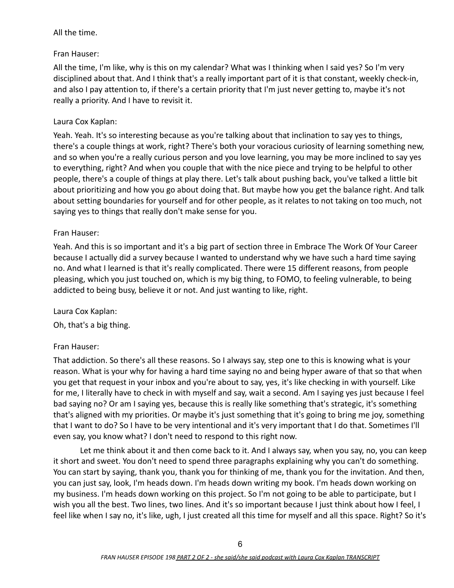## All the time.

## Fran Hauser:

All the time, I'm like, why is this on my calendar? What was I thinking when I said yes? So I'm very disciplined about that. And I think that's a really important part of it is that constant, weekly check-in, and also I pay attention to, if there's a certain priority that I'm just never getting to, maybe it's not really a priority. And I have to revisit it.

# Laura Cox Kaplan:

Yeah. Yeah. It's so interesting because as you're talking about that inclination to say yes to things, there's a couple things at work, right? There's both your voracious curiosity of learning something new, and so when you're a really curious person and you love learning, you may be more inclined to say yes to everything, right? And when you couple that with the nice piece and trying to be helpful to other people, there's a couple of things at play there. Let's talk about pushing back, you've talked a little bit about prioritizing and how you go about doing that. But maybe how you get the balance right. And talk about setting boundaries for yourself and for other people, as it relates to not taking on too much, not saying yes to things that really don't make sense for you.

## Fran Hauser:

Yeah. And this is so important and it's a big part of section three in Embrace The Work Of Your Career because I actually did a survey because I wanted to understand why we have such a hard time saying no. And what I learned is that it's really complicated. There were 15 different reasons, from people pleasing, which you just touched on, which is my big thing, to FOMO, to feeling vulnerable, to being addicted to being busy, believe it or not. And just wanting to like, right.

## Laura Cox Kaplan:

Oh, that's a big thing.

## Fran Hauser:

That addiction. So there's all these reasons. So I always say, step one to this is knowing what is your reason. What is your why for having a hard time saying no and being hyper aware of that so that when you get that request in your inbox and you're about to say, yes, it's like checking in with yourself. Like for me, I literally have to check in with myself and say, wait a second. Am I saying yes just because I feel bad saying no? Or am I saying yes, because this is really like something that's strategic, it's something that's aligned with my priorities. Or maybe it's just something that it's going to bring me joy, something that I want to do? So I have to be very intentional and it's very important that I do that. Sometimes I'll even say, you know what? I don't need to respond to this right now.

Let me think about it and then come back to it. And I always say, when you say, no, you can keep it short and sweet. You don't need to spend three paragraphs explaining why you can't do something. You can start by saying, thank you, thank you for thinking of me, thank you for the invitation. And then, you can just say, look, I'm heads down. I'm heads down writing my book. I'm heads down working on my business. I'm heads down working on this project. So I'm not going to be able to participate, but I wish you all the best. Two lines, two lines. And it's so important because I just think about how I feel, I feel like when I say no, it's like, ugh, I just created all this time for myself and all this space. Right? So it's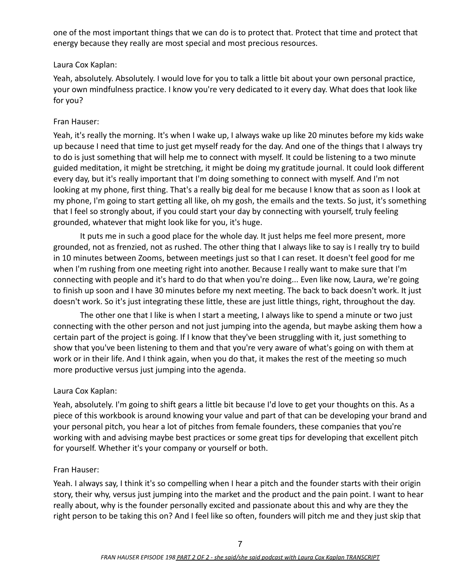one of the most important things that we can do is to protect that. Protect that time and protect that energy because they really are most special and most precious resources.

### Laura Cox Kaplan:

Yeah, absolutely. Absolutely. I would love for you to talk a little bit about your own personal practice, your own mindfulness practice. I know you're very dedicated to it every day. What does that look like for you?

### Fran Hauser:

Yeah, it's really the morning. It's when I wake up, I always wake up like 20 minutes before my kids wake up because I need that time to just get myself ready for the day. And one of the things that I always try to do is just something that will help me to connect with myself. It could be listening to a two minute guided meditation, it might be stretching, it might be doing my gratitude journal. It could look different every day, but it's really important that I'm doing something to connect with myself. And I'm not looking at my phone, first thing. That's a really big deal for me because I know that as soon as I look at my phone, I'm going to start getting all like, oh my gosh, the emails and the texts. So just, it's something that I feel so strongly about, if you could start your day by connecting with yourself, truly feeling grounded, whatever that might look like for you, it's huge.

It puts me in such a good place for the whole day. It just helps me feel more present, more grounded, not as frenzied, not as rushed. The other thing that I always like to say is I really try to build in 10 minutes between Zooms, between meetings just so that I can reset. It doesn't feel good for me when I'm rushing from one meeting right into another. Because I really want to make sure that I'm connecting with people and it's hard to do that when you're doing... Even like now, Laura, we're going to finish up soon and I have 30 minutes before my next meeting. The back to back doesn't work. It just doesn't work. So it's just integrating these little, these are just little things, right, throughout the day.

The other one that I like is when I start a meeting, I always like to spend a minute or two just connecting with the other person and not just jumping into the agenda, but maybe asking them how a certain part of the project is going. If I know that they've been struggling with it, just something to show that you've been listening to them and that you're very aware of what's going on with them at work or in their life. And I think again, when you do that, it makes the rest of the meeting so much more productive versus just jumping into the agenda.

### Laura Cox Kaplan:

Yeah, absolutely. I'm going to shift gears a little bit because I'd love to get your thoughts on this. As a piece of this workbook is around knowing your value and part of that can be developing your brand and your personal pitch, you hear a lot of pitches from female founders, these companies that you're working with and advising maybe best practices or some great tips for developing that excellent pitch for yourself. Whether it's your company or yourself or both.

#### Fran Hauser:

Yeah. I always say, I think it's so compelling when I hear a pitch and the founder starts with their origin story, their why, versus just jumping into the market and the product and the pain point. I want to hear really about, why is the founder personally excited and passionate about this and why are they the right person to be taking this on? And I feel like so often, founders will pitch me and they just skip that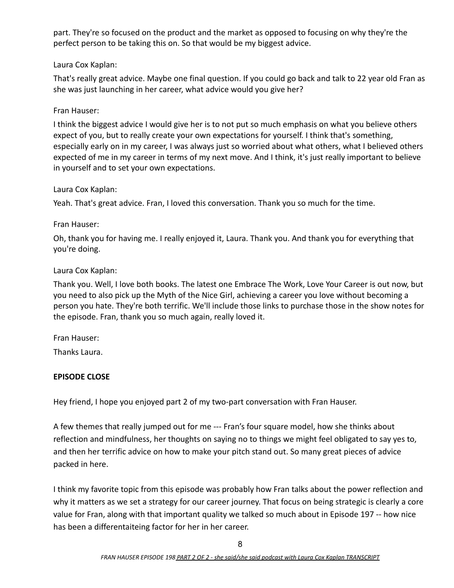part. They're so focused on the product and the market as opposed to focusing on why they're the perfect person to be taking this on. So that would be my biggest advice.

## Laura Cox Kaplan:

That's really great advice. Maybe one final question. If you could go back and talk to 22 year old Fran as she was just launching in her career, what advice would you give her?

## Fran Hauser:

I think the biggest advice I would give her is to not put so much emphasis on what you believe others expect of you, but to really create your own expectations for yourself. I think that's something, especially early on in my career, I was always just so worried about what others, what I believed others expected of me in my career in terms of my next move. And I think, it's just really important to believe in yourself and to set your own expectations.

### Laura Cox Kaplan:

Yeah. That's great advice. Fran, I loved this conversation. Thank you so much for the time.

## Fran Hauser:

Oh, thank you for having me. I really enjoyed it, Laura. Thank you. And thank you for everything that you're doing.

## Laura Cox Kaplan:

Thank you. Well, I love both books. The latest one Embrace The Work, Love Your Career is out now, but you need to also pick up the Myth of the Nice Girl, achieving a career you love without becoming a person you hate. They're both terrific. We'll include those links to purchase those in the show notes for the episode. Fran, thank you so much again, really loved it.

### Fran Hauser:

Thanks Laura.

## **EPISODE CLOSE**

Hey friend, I hope you enjoyed part 2 of my two-part conversation with Fran Hauser.

A few themes that really jumped out for me --- Fran's four square model, how she thinks about reflection and mindfulness, her thoughts on saying no to things we might feel obligated to say yes to, and then her terrific advice on how to make your pitch stand out. So many great pieces of advice packed in here.

I think my favorite topic from this episode was probably how Fran talks about the power reflection and why it matters as we set a strategy for our career journey. That focus on being strategic is clearly a core value for Fran, along with that important quality we talked so much about in Episode 197 -- how nice has been a differentaiteing factor for her in her career.